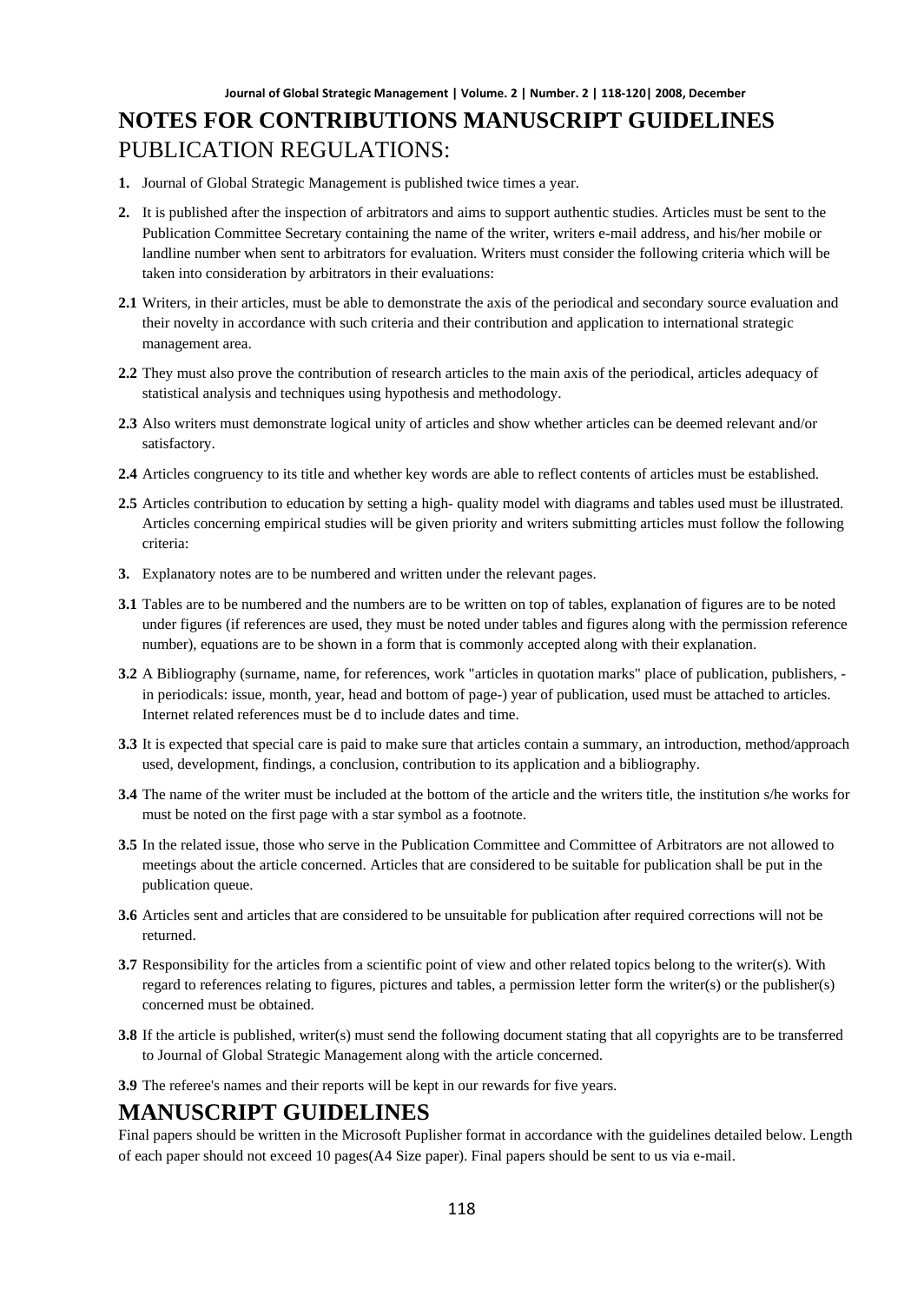- **1.** Journal of Global Strategic Management is published twice times a year.
- **2.** It is published after the inspection of arbitrators and aims to support authentic studies. Articles must be sent to the Publication Committee Secretary containing the name of the writer, writers e-mail address, and his/her mobile or landline number when sent to arbitrators for evaluation. Writers must consider the following criteria which will be taken into consideration by arbitrators in their evaluations:
- **2.1** Writers, in their articles, must be able to demonstrate the axis of the periodical and secondary source evaluation and their novelty in accordance with such criteria and their contribution and application to international strategic management area.
- **2.2** They must also prove the contribution of research articles to the main axis of the periodical, articles adequacy of statistical analysis and techniques using hypothesis and methodology.
- **2.3** Also writers must demonstrate logical unity of articles and show whether articles can be deemed relevant and/or satisfactory.
- **2.4** Articles congruency to its title and whether key words are able to reflect contents of articles must be established.
- **2.5** Articles contribution to education by setting a high- quality model with diagrams and tables used must be illustrated. Articles concerning empirical studies will be given priority and writers submitting articles must follow the following criteria:
- **3.** Explanatory notes are to be numbered and written under the relevant pages.
- **3.1** Tables are to be numbered and the numbers are to be written on top of tables, explanation of figures are to be noted under figures (if references are used, they must be noted under tables and figures along with the permission reference number), equations are to be shown in a form that is commonly accepted along with their explanation.
- **3.2** A Bibliography (surname, name, for references, work "articles in quotation marks" place of publication, publishers, in periodicals: issue, month, year, head and bottom of page-) year of publication, used must be attached to articles. Internet related references must be d to include dates and time.
- **3.3** It is expected that special care is paid to make sure that articles contain a summary, an introduction, method/approach used, development, findings, a conclusion, contribution to its application and a bibliography.
- **3.4** The name of the writer must be included at the bottom of the article and the writers title, the institution s/he works for must be noted on the first page with a star symbol as a footnote.
- **3.5** In the related issue, those who serve in the Publication Committee and Committee of Arbitrators are not allowed to meetings about the article concerned. Articles that are considered to be suitable for publication shall be put in the publication queue.
- **3.6** Articles sent and articles that are considered to be unsuitable for publication after required corrections will not be returned.
- **3.7** Responsibility for the articles from a scientific point of view and other related topics belong to the writer(s). With regard to references relating to figures, pictures and tables, a permission letter form the writer(s) or the publisher(s) concerned must be obtained.
- **3.8** If the article is published, writer(s) must send the following document stating that all copyrights are to be transferred to Journal of Global Strategic Management along with the article concerned.
- **3.9** The referee's names and their reports will be kept in our rewards for five years.

### **MANUSCRIPT GUIDELINES**

Final papers should be written in the Microsoft Puplisher format in accordance with the guidelines detailed below. Length of each paper should not exceed 10 pages(A4 Size paper). Final papers should be sent to us via e-mail.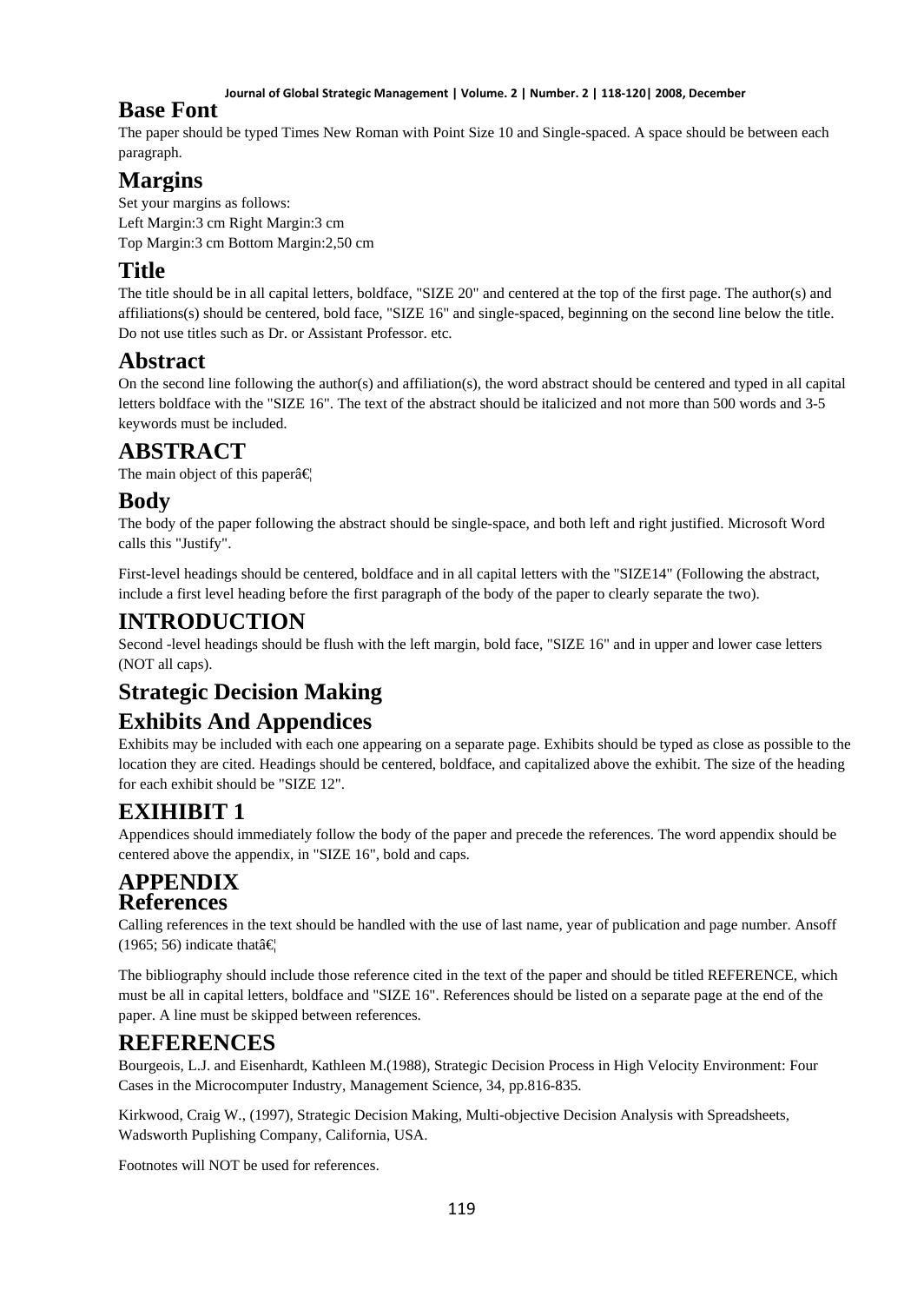#### **Journal of Global Strategic Management | Volume. 2 | Number. 2 | 118-120| 2008, December**

### **Base Font**

The paper should be typed Times New Roman with Point Size 10 and Single-spaced. A space should be between each paragraph.

## **Margins**

Set your margins as follows: Left Margin:3 cm Right Margin:3 cm Top Margin:3 cm Bottom Margin:2,50 cm

## **Title**

The title should be in all capital letters, boldface, "SIZE 20" and centered at the top of the first page. The author(s) and affiliations(s) should be centered, bold face, "SIZE 16" and single-spaced, beginning on the second line below the title. Do not use titles such as Dr. or Assistant Professor. etc.

## **Abstract**

On the second line following the author(s) and affiliation(s), the word abstract should be centered and typed in all capital letters boldface with the "SIZE 16". The text of the abstract should be italicized and not more than 500 words and 3-5 keywords must be included.

## **ABSTRACT**

The main object of this paper $\hat{a} \in \mathbb{R}$ 

## **Body**

The body of the paper following the abstract should be single-space, and both left and right justified. Microsoft Word calls this "Justify".

First-level headings should be centered, boldface and in all capital letters with the "SIZE14" (Following the abstract, include a first level heading before the first paragraph of the body of the paper to clearly separate the two).

## **INTRODUCTION**

Second -level headings should be flush with the left margin, bold face, "SIZE 16" and in upper and lower case letters (NOT all caps).

# **Strategic Decision Making**

## **Exhibits And Appendices**

Exhibits may be included with each one appearing on a separate page. Exhibits should be typed as close as possible to the location they are cited. Headings should be centered, boldface, and capitalized above the exhibit. The size of the heading for each exhibit should be "SIZE 12".

# **EXIHIBIT 1**

Appendices should immediately follow the body of the paper and precede the references. The word appendix should be centered above the appendix, in "SIZE 16", bold and caps.

### **APPENDIX References**

Calling references in the text should be handled with the use of last name, year of publication and page number. Ansoff (1965; 56) indicate that  $\hat{\mathbf{\epsilon}}$ 

The bibliography should include those reference cited in the text of the paper and should be titled REFERENCE, which must be all in capital letters, boldface and "SIZE 16". References should be listed on a separate page at the end of the paper. A line must be skipped between references.

## **REFERENCES**

Bourgeois, L.J. and Eisenhardt, Kathleen M.(1988), Strategic Decision Process in High Velocity Environment: Four Cases in the Microcomputer Industry, Management Science, 34, pp.816-835.

Kirkwood, Craig W., (1997), Strategic Decision Making, Multi-objective Decision Analysis with Spreadsheets, Wadsworth Puplishing Company, California, USA.

Footnotes will NOT be used for references.